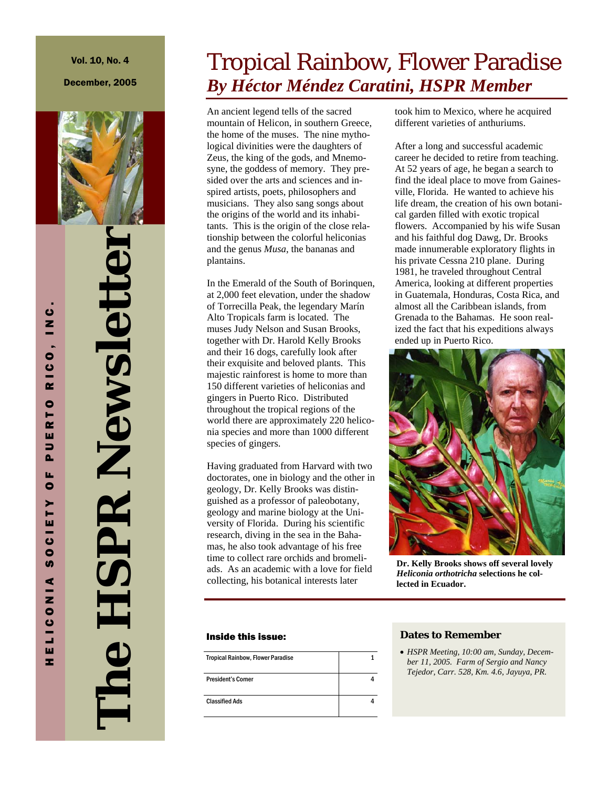December, 2005



**The HSPR Newsletter The HSPR Newsletter** 

# Tropical Rainbow, Flower Paradise *By Héctor Méndez Caratini, HSPR Member*

An ancient legend tells of the sacred mountain of Helicon, in southern Greece, the home of the muses. The nine mythological divinities were the daughters of Zeus, the king of the gods, and Mnemosyne, the goddess of memory. They presided over the arts and sciences and inspired artists, poets, philosophers and musicians. They also sang songs about the origins of the world and its inhabitants. This is the origin of the close relationship between the colorful heliconias and the genus *Musa*, the bananas and plantains.

In the Emerald of the South of Borinquen, at 2,000 feet elevation, under the shadow of Torrecilla Peak, the legendary Marín Alto Tropicals farm is located. The muses Judy Nelson and Susan Brooks, together with Dr. Harold Kelly Brooks and their 16 dogs, carefully look after their exquisite and beloved plants. This majestic rainforest is home to more than 150 different varieties of heliconias and gingers in Puerto Rico. Distributed throughout the tropical regions of the world there are approximately 220 heliconia species and more than 1000 different species of gingers.

Having graduated from Harvard with two doctorates, one in biology and the other in geology, Dr. Kelly Brooks was distinguished as a professor of paleobotany, geology and marine biology at the University of Florida. During his scientific research, diving in the sea in the Bahamas, he also took advantage of his free time to collect rare orchids and bromeliads. As an academic with a love for field collecting, his botanical interests later

#### Inside this issue:

| <b>Tropical Rainbow, Flower Paradise</b> |  |
|------------------------------------------|--|
| <b>President's Corner</b>                |  |
| <b>Classified Ads</b>                    |  |

took him to Mexico, where he acquired different varieties of anthuriums.

After a long and successful academic career he decided to retire from teaching. At 52 years of age, he began a search to find the ideal place to move from Gainesville, Florida. He wanted to achieve his life dream, the creation of his own botanical garden filled with exotic tropical flowers. Accompanied by his wife Susan and his faithful dog Dawg, Dr. Brooks made innumerable exploratory flights in his private Cessna 210 plane. During 1981, he traveled throughout Central America, looking at different properties in Guatemala, Honduras, Costa Rica, and almost all the Caribbean islands, from Grenada to the Bahamas. He soon realized the fact that his expeditions always ended up in Puerto Rico.



**Dr. Kelly Brooks shows off several lovely**  *Heliconia orthotricha* **selections he collected in Ecuador.** 

### **Dates to Remember**

• *HSPR Meeting, 10:00 am, Sunday, December 11, 2005. Farm of Sergio and Nancy Tejedor, Carr. 528, Km. 4.6, Jayuya, PR.*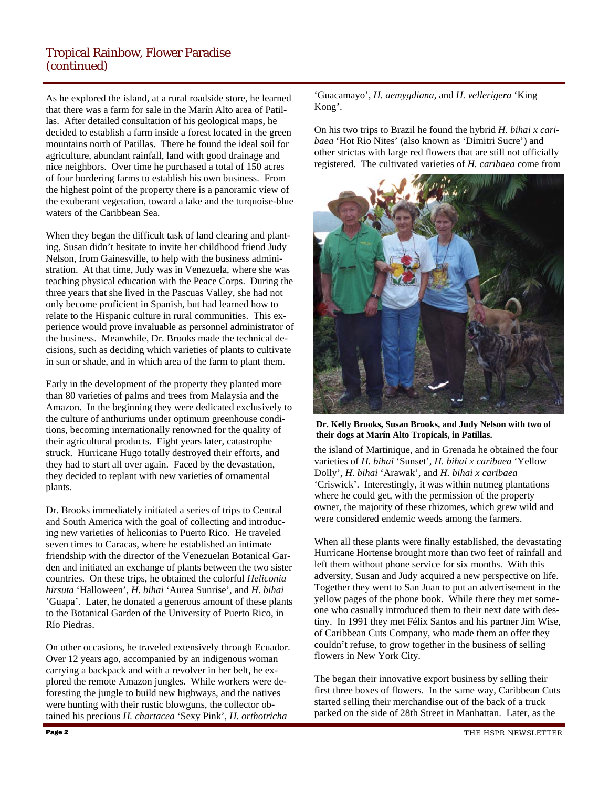## Tropical Rainbow, Flower Paradise (continued)

As he explored the island, at a rural roadside store, he learned that there was a farm for sale in the Marín Alto area of Patillas. After detailed consultation of his geological maps, he decided to establish a farm inside a forest located in the green mountains north of Patillas. There he found the ideal soil for agriculture, abundant rainfall, land with good drainage and nice neighbors. Over time he purchased a total of 150 acres of four bordering farms to establish his own business. From the highest point of the property there is a panoramic view of the exuberant vegetation, toward a lake and the turquoise-blue waters of the Caribbean Sea.

When they began the difficult task of land clearing and planting, Susan didn't hesitate to invite her childhood friend Judy Nelson, from Gainesville, to help with the business administration. At that time, Judy was in Venezuela, where she was teaching physical education with the Peace Corps. During the three years that she lived in the Pascuas Valley, she had not only become proficient in Spanish, but had learned how to relate to the Hispanic culture in rural communities. This experience would prove invaluable as personnel administrator of the business. Meanwhile, Dr. Brooks made the technical decisions, such as deciding which varieties of plants to cultivate in sun or shade, and in which area of the farm to plant them.

Early in the development of the property they planted more than 80 varieties of palms and trees from Malaysia and the Amazon. In the beginning they were dedicated exclusively to the culture of anthuriums under optimum greenhouse conditions, becoming internationally renowned for the quality of their agricultural products. Eight years later, catastrophe struck. Hurricane Hugo totally destroyed their efforts, and they had to start all over again. Faced by the devastation, they decided to replant with new varieties of ornamental plants.

Dr. Brooks immediately initiated a series of trips to Central and South America with the goal of collecting and introducing new varieties of heliconias to Puerto Rico. He traveled seven times to Caracas, where he established an intimate friendship with the director of the Venezuelan Botanical Garden and initiated an exchange of plants between the two sister countries. On these trips, he obtained the colorful *Heliconia hirsuta* 'Halloween', *H. bihai* 'Aurea Sunrise', and *H. bihai*  'Guapa'. Later, he donated a generous amount of these plants to the Botanical Garden of the University of Puerto Rico, in Río Piedras.

On other occasions, he traveled extensively through Ecuador. Over 12 years ago, accompanied by an indigenous woman carrying a backpack and with a revolver in her belt, he explored the remote Amazon jungles. While workers were deforesting the jungle to build new highways, and the natives were hunting with their rustic blowguns, the collector obtained his precious *H. chartacea* 'Sexy Pink', *H. orthotricha* 

'Guacamayo', *H. aemygdiana*, and *H. vellerigera* 'King Kong'.

On his two trips to Brazil he found the hybrid *H. bihai x caribaea* 'Hot Rio Nites' (also known as 'Dimitri Sucre') and other strictas with large red flowers that are still not officially registered. The cultivated varieties of *H. caribaea* come from



**Dr. Kelly Brooks, Susan Brooks, and Judy Nelson with two of their dogs at Marín Alto Tropicals, in Patillas.** 

the island of Martinique, and in Grenada he obtained the four varieties of *H. bihai* 'Sunset', *H. bihai x caribaea* 'Yellow Dolly', *H. bihai* 'Arawak', and *H. bihai x caribaea*  'Criswick'. Interestingly, it was within nutmeg plantations where he could get, with the permission of the property owner, the majority of these rhizomes, which grew wild and were considered endemic weeds among the farmers.

When all these plants were finally established, the devastating Hurricane Hortense brought more than two feet of rainfall and left them without phone service for six months. With this adversity, Susan and Judy acquired a new perspective on life. Together they went to San Juan to put an advertisement in the yellow pages of the phone book. While there they met someone who casually introduced them to their next date with destiny. In 1991 they met Félix Santos and his partner Jim Wise, of Caribbean Cuts Company, who made them an offer they couldn't refuse, to grow together in the business of selling flowers in New York City.

The began their innovative export business by selling their first three boxes of flowers. In the same way, Caribbean Cuts started selling their merchandise out of the back of a truck parked on the side of 28th Street in Manhattan. Later, as the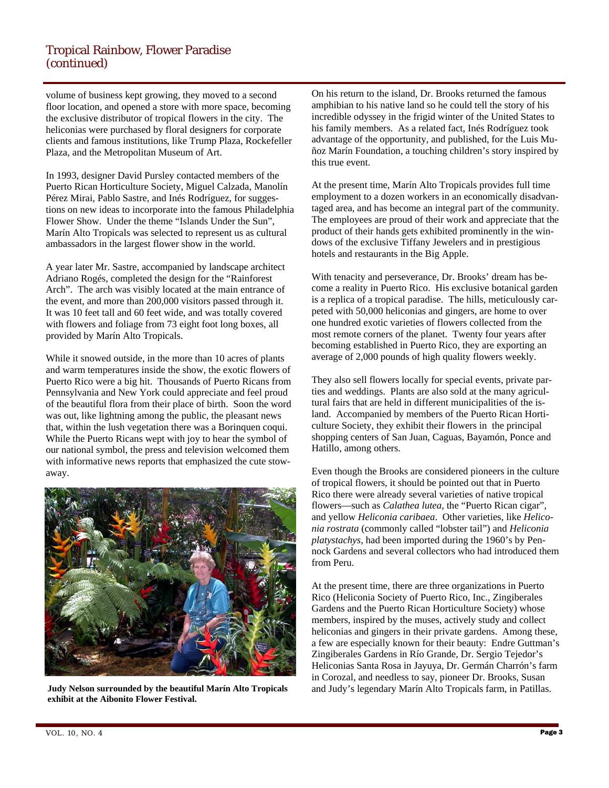## Tropical Rainbow, Flower Paradise (continued)

volume of business kept growing, they moved to a second floor location, and opened a store with more space, becoming the exclusive distributor of tropical flowers in the city. The heliconias were purchased by floral designers for corporate clients and famous institutions, like Trump Plaza, Rockefeller Plaza, and the Metropolitan Museum of Art.

In 1993, designer David Pursley contacted members of the Puerto Rican Horticulture Society, Miguel Calzada, Manolín Pérez Mirai, Pablo Sastre, and Inés Rodríguez, for suggestions on new ideas to incorporate into the famous Philadelphia Flower Show. Under the theme "Islands Under the Sun", Marín Alto Tropicals was selected to represent us as cultural ambassadors in the largest flower show in the world.

A year later Mr. Sastre, accompanied by landscape architect Adriano Rogés, completed the design for the "Rainforest Arch". The arch was visibly located at the main entrance of the event, and more than 200,000 visitors passed through it. It was 10 feet tall and 60 feet wide, and was totally covered with flowers and foliage from 73 eight foot long boxes, all provided by Marín Alto Tropicals.

While it snowed outside, in the more than 10 acres of plants and warm temperatures inside the show, the exotic flowers of Puerto Rico were a big hit. Thousands of Puerto Ricans from Pennsylvania and New York could appreciate and feel proud of the beautiful flora from their place of birth. Soon the word was out, like lightning among the public, the pleasant news that, within the lush vegetation there was a Borinquen coqui. While the Puerto Ricans wept with joy to hear the symbol of our national symbol, the press and television welcomed them with informative news reports that emphasized the cute stowaway.



**Judy Nelson surrounded by the beautiful Marín Alto Tropicals exhibit at the Aibonito Flower Festival.** 

On his return to the island, Dr. Brooks returned the famous amphibian to his native land so he could tell the story of his incredible odyssey in the frigid winter of the United States to his family members. As a related fact, Inés Rodríguez took advantage of the opportunity, and published, for the Luis Muñoz Marín Foundation, a touching children's story inspired by this true event.

At the present time, Marín Alto Tropicals provides full time employment to a dozen workers in an economically disadvantaged area, and has become an integral part of the community. The employees are proud of their work and appreciate that the product of their hands gets exhibited prominently in the windows of the exclusive Tiffany Jewelers and in prestigious hotels and restaurants in the Big Apple.

With tenacity and perseverance, Dr. Brooks' dream has become a reality in Puerto Rico. His exclusive botanical garden is a replica of a tropical paradise. The hills, meticulously carpeted with 50,000 heliconias and gingers, are home to over one hundred exotic varieties of flowers collected from the most remote corners of the planet. Twenty four years after becoming established in Puerto Rico, they are exporting an average of 2,000 pounds of high quality flowers weekly.

They also sell flowers locally for special events, private parties and weddings. Plants are also sold at the many agricultural fairs that are held in different municipalities of the island. Accompanied by members of the Puerto Rican Horticulture Society, they exhibit their flowers in the principal shopping centers of San Juan, Caguas, Bayamón, Ponce and Hatillo, among others.

Even though the Brooks are considered pioneers in the culture of tropical flowers, it should be pointed out that in Puerto Rico there were already several varieties of native tropical flowers—such as *Calathea lutea*, the "Puerto Rican cigar", and yellow *Heliconia caribaea*. Other varieties, like *Heliconia rostrata* (commonly called "lobster tail") and *Heliconia platystachys*, had been imported during the 1960's by Pennock Gardens and several collectors who had introduced them from Peru.

At the present time, there are three organizations in Puerto Rico (Heliconia Society of Puerto Rico, Inc., Zingiberales Gardens and the Puerto Rican Horticulture Society) whose members, inspired by the muses, actively study and collect heliconias and gingers in their private gardens. Among these, a few are especially known for their beauty: Endre Guttman's Zingiberales Gardens in Río Grande, Dr. Sergio Tejedor's Heliconias Santa Rosa in Jayuya, Dr. Germán Charrón's farm in Corozal, and needless to say, pioneer Dr. Brooks, Susan and Judy's legendary Marín Alto Tropicals farm, in Patillas.